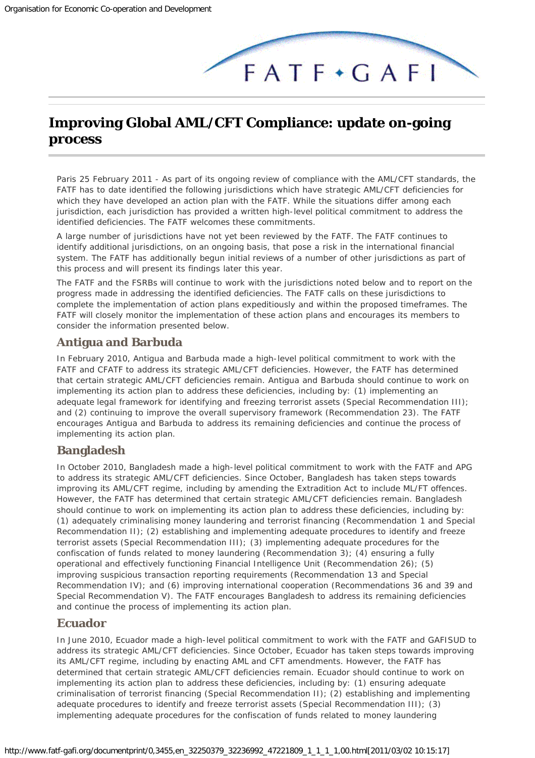# <span id="page-0-0"></span>**Improving Global AML/CFT Compliance: update on-going process**

*Paris 25 February 2011* - As part of its ongoing review of compliance with the AML/CFT standards, the FATF has to date identified the following jurisdictions which have strategic AML/CFT deficiencies for which they have developed an action plan with the FATF. While the situations differ among each jurisdiction, each jurisdiction has provided a written high-level political commitment to address the identified deficiencies. The FATF welcomes these commitments.

 $FATF+GAFI$ 

A large number of jurisdictions have not yet been reviewed by the FATF. The FATF continues to identify additional jurisdictions, on an ongoing basis, that pose a risk in the international financial system. The FATF has additionally begun initial reviews of a number of other jurisdictions as part of this process and will present its findings later this year.

The FATF and the FSRBs will continue to work with the jurisdictions noted below and to report on the progress made in addressing the identified deficiencies. The FATF calls on these jurisdictions to complete the implementation of action plans expeditiously and within the proposed timeframes. The FATF will closely monitor the implementation of these action plans and encourages its members to consider the information presented below.

#### **Antigua and Barbuda**

In February 2010, Antigua and Barbuda made a high-level political commitment to work with the FATF and CFATF to address its strategic AML/CFT deficiencies. However, the FATF has determined that certain strategic AML/CFT deficiencies remain. Antigua and Barbuda should continue to work on implementing its action plan to address these deficiencies, including by: (1) implementing an adequate legal framework for identifying and freezing terrorist assets (Special Recommendation III); and (2) continuing to improve the overall supervisory framework (Recommendation 23). The FATF encourages Antigua and Barbuda to address its remaining deficiencies and continue the process of implementing its action plan.

#### **Bangladesh**

In October 2010, Bangladesh made a high-level political commitment to work with the FATF and APG to address its strategic AML/CFT deficiencies. Since October, Bangladesh has taken steps towards improving its AML/CFT regime, including by amending the Extradition Act to include ML/FT offences. However, the FATF has determined that certain strategic AML/CFT deficiencies remain. Bangladesh should continue to work on implementing its action plan to address these deficiencies, including by: (1) adequately criminalising money laundering and terrorist financing (Recommendation 1 and Special Recommendation II); (2) establishing and implementing adequate procedures to identify and freeze terrorist assets (Special Recommendation III); (3) implementing adequate procedures for the confiscation of funds related to money laundering (Recommendation 3); (4) ensuring a fully operational and effectively functioning Financial Intelligence Unit (Recommendation 26); (5) improving suspicious transaction reporting requirements (Recommendation 13 and Special Recommendation IV); and (6) improving international cooperation (Recommendations 36 and 39 and Special Recommendation V). The FATF encourages Bangladesh to address its remaining deficiencies and continue the process of implementing its action plan.

#### **Ecuador**

In June 2010, Ecuador made a high-level political commitment to work with the FATF and GAFISUD to address its strategic AML/CFT deficiencies. Since October, Ecuador has taken steps towards improving its AML/CFT regime, including by enacting AML and CFT amendments. However, the FATF has determined that certain strategic AML/CFT deficiencies remain. Ecuador should continue to work on implementing its action plan to address these deficiencies, including by: (1) ensuring adequate criminalisation of terrorist financing (Special Recommendation II); (2) establishing and implementing adequate procedures to identify and freeze terrorist assets (Special Recommendation III); (3) implementing adequate procedures for the confiscation of funds related to money laundering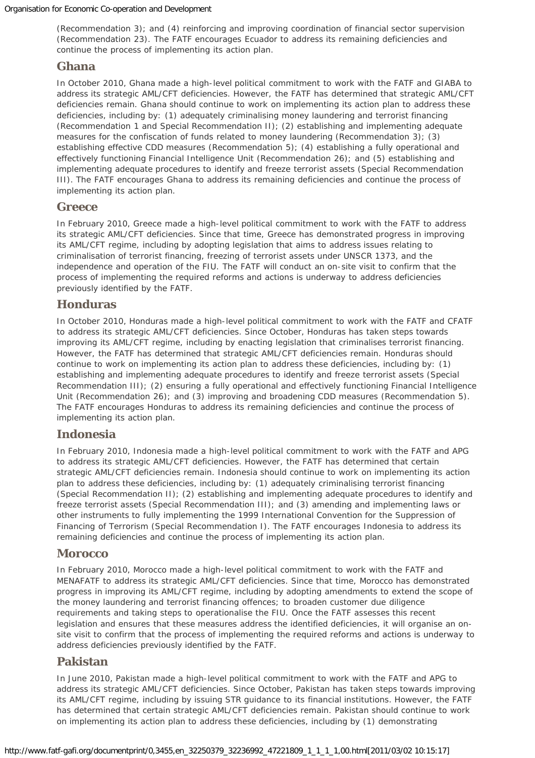(Recommendation 3); and (4) reinforcing and improving coordination of financial sector supervision (Recommendation 23). The FATF encourages Ecuador to address its remaining deficiencies and continue the process of implementing its action plan.

#### **Ghana**

In October 2010, Ghana made a high-level political commitment to work with the FATF and GIABA to address its strategic AML/CFT deficiencies. However, the FATF has determined that strategic AML/CFT deficiencies remain. Ghana should continue to work on implementing its action plan to address these deficiencies, including by: (1) adequately criminalising money laundering and terrorist financing (Recommendation 1 and Special Recommendation II); (2) establishing and implementing adequate measures for the confiscation of funds related to money laundering (Recommendation 3); (3) establishing effective CDD measures (Recommendation 5); (4) establishing a fully operational and effectively functioning Financial Intelligence Unit (Recommendation 26); and (5) establishing and implementing adequate procedures to identify and freeze terrorist assets (Special Recommendation III). The FATF encourages Ghana to address its remaining deficiencies and continue the process of implementing its action plan.

#### **Greece**

In February 2010, Greece made a high-level political commitment to work with the FATF to address its strategic AML/CFT deficiencies. Since that time, Greece has demonstrated progress in improving its AML/CFT regime, including by adopting legislation that aims to address issues relating to criminalisation of terrorist financing, freezing of terrorist assets under UNSCR 1373, and the independence and operation of the FIU. The FATF will conduct an on-site visit to confirm that the process of implementing the required reforms and actions is underway to address deficiencies previously identified by the FATF.

#### **Honduras**

In October 2010, Honduras made a high-level political commitment to work with the FATF and CFATF to address its strategic AML/CFT deficiencies. Since October, Honduras has taken steps towards improving its AML/CFT regime, including by enacting legislation that criminalises terrorist financing. However, the FATF has determined that strategic AML/CFT deficiencies remain. Honduras should continue to work on implementing its action plan to address these deficiencies, including by: (1) establishing and implementing adequate procedures to identify and freeze terrorist assets (Special Recommendation III); (2) ensuring a fully operational and effectively functioning Financial Intelligence Unit (Recommendation 26); and (3) improving and broadening CDD measures (Recommendation 5). The FATF encourages Honduras to address its remaining deficiencies and continue the process of implementing its action plan.

#### **Indonesia**

In February 2010, Indonesia made a high-level political commitment to work with the FATF and APG to address its strategic AML/CFT deficiencies. However, the FATF has determined that certain strategic AML/CFT deficiencies remain. Indonesia should continue to work on implementing its action plan to address these deficiencies, including by: (1) adequately criminalising terrorist financing (Special Recommendation II); (2) establishing and implementing adequate procedures to identify and freeze terrorist assets (Special Recommendation III); and (3) amending and implementing laws or other instruments to fully implementing the 1999 International Convention for the Suppression of Financing of Terrorism (Special Recommendation I). The FATF encourages Indonesia to address its remaining deficiencies and continue the process of implementing its action plan.

#### **Morocco**

In February 2010, Morocco made a high-level political commitment to work with the FATF and MENAFATF to address its strategic AML/CFT deficiencies. Since that time, Morocco has demonstrated progress in improving its AML/CFT regime, including by adopting amendments to extend the scope of the money laundering and terrorist financing offences; to broaden customer due diligence requirements and taking steps to operationalise the FIU. Once the FATF assesses this recent legislation and ensures that these measures address the identified deficiencies, it will organise an onsite visit to confirm that the process of implementing the required reforms and actions is underway to address deficiencies previously identified by the FATF.

#### **Pakistan**

In June 2010, Pakistan made a high-level political commitment to work with the FATF and APG to address its strategic AML/CFT deficiencies. Since October, Pakistan has taken steps towards improving its AML/CFT regime, including by issuing STR guidance to its financial institutions. However, the FATF has determined that certain strategic AML/CFT deficiencies remain. Pakistan should continue to work on implementing its action plan to address these deficiencies, including by (1) demonstrating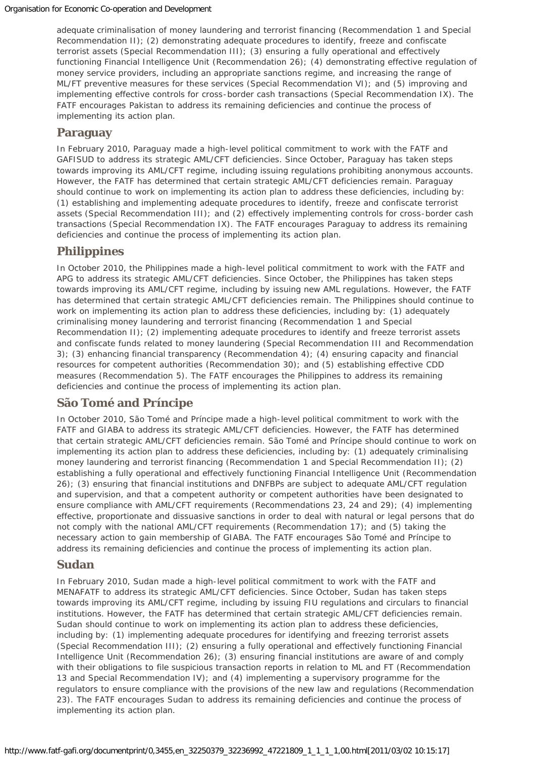adequate criminalisation of money laundering and terrorist financing (Recommendation 1 and Special Recommendation II); (2) demonstrating adequate procedures to identify, freeze and confiscate terrorist assets (Special Recommendation III); (3) ensuring a fully operational and effectively functioning Financial Intelligence Unit (Recommendation 26); (4) demonstrating effective regulation of money service providers, including an appropriate sanctions regime, and increasing the range of ML/FT preventive measures for these services (Special Recommendation VI); and (5) improving and implementing effective controls for cross-border cash transactions (Special Recommendation IX). The FATF encourages Pakistan to address its remaining deficiencies and continue the process of implementing its action plan.

## **Paraguay**

In February 2010, Paraguay made a high-level political commitment to work with the FATF and GAFISUD to address its strategic AML/CFT deficiencies. Since October, Paraguay has taken steps towards improving its AML/CFT regime, including issuing regulations prohibiting anonymous accounts. However, the FATF has determined that certain strategic AML/CFT deficiencies remain. Paraguay should continue to work on implementing its action plan to address these deficiencies, including by: (1) establishing and implementing adequate procedures to identify, freeze and confiscate terrorist assets (Special Recommendation III); and (2) effectively implementing controls for cross-border cash transactions (Special Recommendation IX). The FATF encourages Paraguay to address its remaining deficiencies and continue the process of implementing its action plan.

## **Philippines**

In October 2010, the Philippines made a high-level political commitment to work with the FATF and APG to address its strategic AML/CFT deficiencies. Since October, the Philippines has taken steps towards improving its AML/CFT regime, including by issuing new AML regulations. However, the FATF has determined that certain strategic AML/CFT deficiencies remain. The Philippines should continue to work on implementing its action plan to address these deficiencies, including by: (1) adequately criminalising money laundering and terrorist financing (Recommendation 1 and Special Recommendation II); (2) implementing adequate procedures to identify and freeze terrorist assets and confiscate funds related to money laundering (Special Recommendation III and Recommendation 3); (3) enhancing financial transparency (Recommendation 4); (4) ensuring capacity and financial resources for competent authorities (Recommendation 30); and (5) establishing effective CDD measures (Recommendation 5). The FATF encourages the Philippines to address its remaining deficiencies and continue the process of implementing its action plan.

## **São Tomé and Príncipe**

In October 2010, São Tomé and Príncipe made a high-level political commitment to work with the FATF and GIABA to address its strategic AML/CFT deficiencies. However, the FATF has determined that certain strategic AML/CFT deficiencies remain. São Tomé and Príncipe should continue to work on implementing its action plan to address these deficiencies, including by: (1) adequately criminalising money laundering and terrorist financing (Recommendation 1 and Special Recommendation II); (2) establishing a fully operational and effectively functioning Financial Intelligence Unit (Recommendation 26); (3) ensuring that financial institutions and DNFBPs are subject to adequate AML/CFT regulation and supervision, and that a competent authority or competent authorities have been designated to ensure compliance with AML/CFT requirements (Recommendations 23, 24 and 29); (4) implementing effective, proportionate and dissuasive sanctions in order to deal with natural or legal persons that do not comply with the national AML/CFT requirements (Recommendation 17); and (5) taking the necessary action to gain membership of GIABA. The FATF encourages São Tomé and Príncipe to address its remaining deficiencies and continue the process of implementing its action plan.

#### **Sudan**

In February 2010, Sudan made a high-level political commitment to work with the FATF and MENAFATF to address its strategic AML/CFT deficiencies. Since October, Sudan has taken steps towards improving its AML/CFT regime, including by issuing FIU regulations and circulars to financial institutions. However, the FATF has determined that certain strategic AML/CFT deficiencies remain. Sudan should continue to work on implementing its action plan to address these deficiencies, including by: (1) implementing adequate procedures for identifying and freezing terrorist assets (Special Recommendation III); (2) ensuring a fully operational and effectively functioning Financial Intelligence Unit (Recommendation 26); (3) ensuring financial institutions are aware of and comply with their obligations to file suspicious transaction reports in relation to ML and FT (Recommendation 13 and Special Recommendation IV); and (4) implementing a supervisory programme for the regulators to ensure compliance with the provisions of the new law and regulations (Recommendation 23). The FATF encourages Sudan to address its remaining deficiencies and continue the process of implementing its action plan.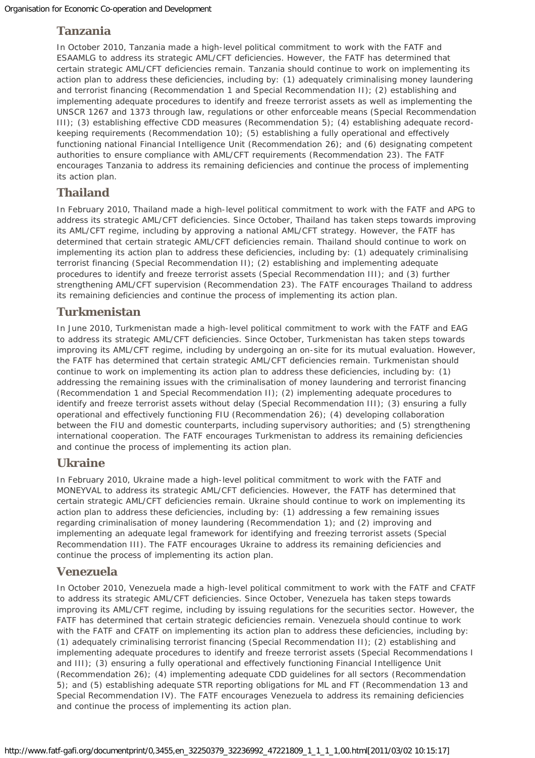## **Tanzania**

In October 2010, Tanzania made a high-level political commitment to work with the FATF and ESAAMLG to address its strategic AML/CFT deficiencies. However, the FATF has determined that certain strategic AML/CFT deficiencies remain. Tanzania should continue to work on implementing its action plan to address these deficiencies, including by: (1) adequately criminalising money laundering and terrorist financing (Recommendation 1 and Special Recommendation II); (2) establishing and implementing adequate procedures to identify and freeze terrorist assets as well as implementing the UNSCR 1267 and 1373 through law, regulations or other enforceable means (Special Recommendation III); (3) establishing effective CDD measures (Recommendation 5); (4) establishing adequate recordkeeping requirements (Recommendation 10); (5) establishing a fully operational and effectively functioning national Financial Intelligence Unit (Recommendation 26); and (6) designating competent authorities to ensure compliance with AML/CFT requirements (Recommendation 23). The FATF encourages Tanzania to address its remaining deficiencies and continue the process of implementing its action plan.

## **Thailand**

In February 2010, Thailand made a high-level political commitment to work with the FATF and APG to address its strategic AML/CFT deficiencies. Since October, Thailand has taken steps towards improving its AML/CFT regime, including by approving a national AML/CFT strategy. However, the FATF has determined that certain strategic AML/CFT deficiencies remain. Thailand should continue to work on implementing its action plan to address these deficiencies, including by: (1) adequately criminalising terrorist financing (Special Recommendation II); (2) establishing and implementing adequate procedures to identify and freeze terrorist assets (Special Recommendation III); and (3) further strengthening AML/CFT supervision (Recommendation 23). The FATF encourages Thailand to address its remaining deficiencies and continue the process of implementing its action plan.

### **Turkmenistan**

In June 2010, Turkmenistan made a high-level political commitment to work with the FATF and EAG to address its strategic AML/CFT deficiencies. Since October, Turkmenistan has taken steps towards improving its AML/CFT regime, including by undergoing an on-site for its mutual evaluation. However, the FATF has determined that certain strategic AML/CFT deficiencies remain. Turkmenistan should continue to work on implementing its action plan to address these deficiencies, including by: (1) addressing the remaining issues with the criminalisation of money laundering and terrorist financing (Recommendation 1 and Special Recommendation II); (2) implementing adequate procedures to identify and freeze terrorist assets without delay (Special Recommendation III); (3) ensuring a fully operational and effectively functioning FIU (Recommendation 26); (4) developing collaboration between the FIU and domestic counterparts, including supervisory authorities; and (5) strengthening international cooperation. The FATF encourages Turkmenistan to address its remaining deficiencies and continue the process of implementing its action plan.

#### **Ukraine**

In February 2010, Ukraine made a high-level political commitment to work with the FATF and MONEYVAL to address its strategic AML/CFT deficiencies. However, the FATF has determined that certain strategic AML/CFT deficiencies remain. Ukraine should continue to work on implementing its action plan to address these deficiencies, including by: (1) addressing a few remaining issues regarding criminalisation of money laundering (Recommendation 1); and (2) improving and implementing an adequate legal framework for identifying and freezing terrorist assets (Special Recommendation III). The FATF encourages Ukraine to address its remaining deficiencies and continue the process of implementing its action plan.

#### **Venezuela**

In October 2010, Venezuela made a high-level political commitment to work with the FATF and CFATF to address its strategic AML/CFT deficiencies. Since October, Venezuela has taken steps towards improving its AML/CFT regime, including by issuing regulations for the securities sector. However, the FATF has determined that certain strategic deficiencies remain. Venezuela should continue to work with the FATF and CFATF on implementing its action plan to address these deficiencies, including by: (1) adequately criminalising terrorist financing (Special Recommendation II); (2) establishing and implementing adequate procedures to identify and freeze terrorist assets (Special Recommendations I and III); (3) ensuring a fully operational and effectively functioning Financial Intelligence Unit (Recommendation 26); (4) implementing adequate CDD guidelines for all sectors (Recommendation 5); and (5) establishing adequate STR reporting obligations for ML and FT (Recommendation 13 and Special Recommendation IV). The FATF encourages Venezuela to address its remaining deficiencies and continue the process of implementing its action plan.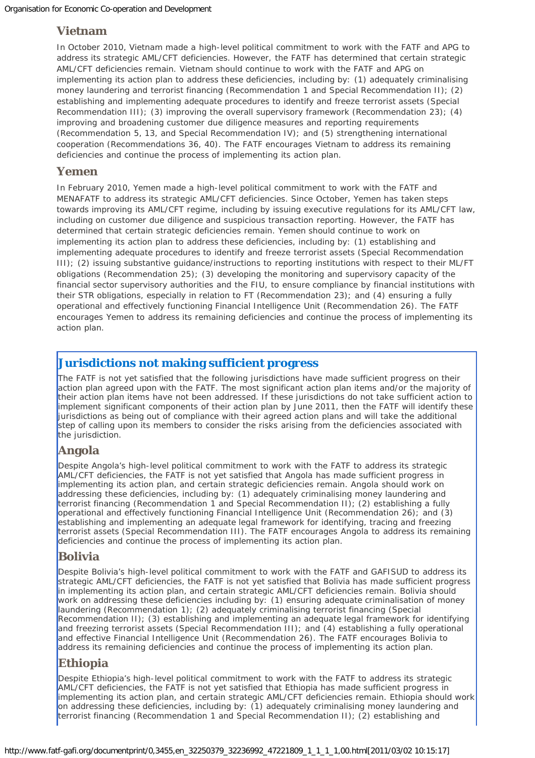#### **Vietnam**

In October 2010, Vietnam made a high-level political commitment to work with the FATF and APG to address its strategic AML/CFT deficiencies. However, the FATF has determined that certain strategic AML/CFT deficiencies remain. Vietnam should continue to work with the FATF and APG on implementing its action plan to address these deficiencies, including by: (1) adequately criminalising money laundering and terrorist financing (Recommendation 1 and Special Recommendation II); (2) establishing and implementing adequate procedures to identify and freeze terrorist assets (Special Recommendation III); (3) improving the overall supervisory framework (Recommendation 23); (4) improving and broadening customer due diligence measures and reporting requirements (Recommendation 5, 13, and Special Recommendation IV); and (5) strengthening international cooperation (Recommendations 36, 40). The FATF encourages Vietnam to address its remaining deficiencies and continue the process of implementing its action plan.

#### **Yemen**

In February 2010, Yemen made a high-level political commitment to work with the FATF and MENAFATF to address its strategic AML/CFT deficiencies. Since October, Yemen has taken steps towards improving its AML/CFT regime, including by issuing executive regulations for its AML/CFT law, including on customer due diligence and suspicious transaction reporting. However, the FATF has determined that certain strategic deficiencies remain. Yemen should continue to work on implementing its action plan to address these deficiencies, including by: (1) establishing and implementing adequate procedures to identify and freeze terrorist assets (Special Recommendation III); (2) issuing substantive guidance/instructions to reporting institutions with respect to their ML/FT obligations (Recommendation 25); (3) developing the monitoring and supervisory capacity of the financial sector supervisory authorities and the FIU, to ensure compliance by financial institutions with their STR obligations, especially in relation to FT (Recommendation 23); and (4) ensuring a fully operational and effectively functioning Financial Intelligence Unit (Recommendation 26). The FATF encourages Yemen to address its remaining deficiencies and continue the process of implementing its action plan.

## **Jurisdictions not making sufficient progress**

The FATF is not yet satisfied that the following jurisdictions have made sufficient progress on their action plan agreed upon with the FATF. The most significant action plan items and/or the majority of their action plan items have not been addressed. If these jurisdictions do not take sufficient action to implement significant components of their action plan by June 2011, then the FATF will identify these jurisdictions as being out of compliance with their agreed action plans and will take the additional step of calling upon its members to consider the risks arising from the deficiencies associated with the jurisdiction.

## **Angola**

Despite Angola's high-level political commitment to work with the FATF to address its strategic AML/CFT deficiencies, the FATF is not yet satisfied that Angola has made sufficient progress in implementing its action plan, and certain strategic deficiencies remain. Angola should work on addressing these deficiencies, including by: (1) adequately criminalising money laundering and terrorist financing (Recommendation 1 and Special Recommendation II); (2) establishing a fully operational and effectively functioning Financial Intelligence Unit (Recommendation 26); and (3) establishing and implementing an adequate legal framework for identifying, tracing and freezing terrorist assets (Special Recommendation III). The FATF encourages Angola to address its remaining deficiencies and continue the process of implementing its action plan.

## **Bolivia**

Despite Bolivia's high-level political commitment to work with the FATF and GAFISUD to address its strategic AML/CFT deficiencies, the FATF is not yet satisfied that Bolivia has made sufficient progress in implementing its action plan, and certain strategic AML/CFT deficiencies remain. Bolivia should work on addressing these deficiencies including by: (1) ensuring adequate criminalisation of money laundering (Recommendation 1); (2) adequately criminalising terrorist financing (Special Recommendation II); (3) establishing and implementing an adequate legal framework for identifying and freezing terrorist assets (Special Recommendation III); and (4) establishing a fully operational and effective Financial Intelligence Unit (Recommendation 26). The FATF encourages Bolivia to address its remaining deficiencies and continue the process of implementing its action plan.

## **Ethiopia**

Despite Ethiopia's high-level political commitment to work with the FATF to address its strategic AML/CFT deficiencies, the FATF is not yet satisfied that Ethiopia has made sufficient progress in implementing its action plan, and certain strategic AML/CFT deficiencies remain. Ethiopia should work on addressing these deficiencies, including by: (1) adequately criminalising money laundering and terrorist financing (Recommendation 1 and Special Recommendation II); (2) establishing and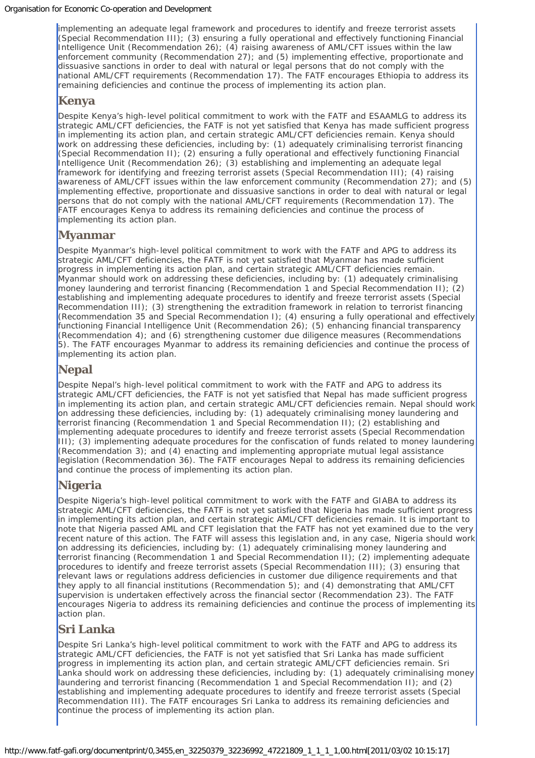implementing an adequate legal framework and procedures to identify and freeze terrorist assets (Special Recommendation III); (3) ensuring a fully operational and effectively functioning Financial Intelligence Unit (Recommendation 26); (4) raising awareness of AML/CFT issues within the law enforcement community (Recommendation 27); and (5) implementing effective, proportionate and dissuasive sanctions in order to deal with natural or legal persons that do not comply with the national AML/CFT requirements (Recommendation 17). The FATF encourages Ethiopia to address its remaining deficiencies and continue the process of implementing its action plan.

### **Kenya**

Despite Kenya's high-level political commitment to work with the FATF and ESAAMLG to address its strategic AML/CFT deficiencies, the FATF is not yet satisfied that Kenya has made sufficient progress in implementing its action plan, and certain strategic AML/CFT deficiencies remain. Kenya should work on addressing these deficiencies, including by: (1) adequately criminalising terrorist financing (Special Recommendation II); (2) ensuring a fully operational and effectively functioning Financial Intelligence Unit (Recommendation 26); (3) establishing and implementing an adequate legal framework for identifying and freezing terrorist assets (Special Recommendation III); (4) raising awareness of AML/CFT issues within the law enforcement community (Recommendation 27); and (5) implementing effective, proportionate and dissuasive sanctions in order to deal with natural or legal persons that do not comply with the national AML/CFT requirements (Recommendation 17). The FATF encourages Kenya to address its remaining deficiencies and continue the process of implementing its action plan.

## **Myanmar**

Despite Myanmar's high-level political commitment to work with the FATF and APG to address its strategic AML/CFT deficiencies, the FATF is not yet satisfied that Myanmar has made sufficient progress in implementing its action plan, and certain strategic AML/CFT deficiencies remain. Myanmar should work on addressing these deficiencies, including by: (1) adequately criminalising money laundering and terrorist financing (Recommendation 1 and Special Recommendation II); (2) establishing and implementing adequate procedures to identify and freeze terrorist assets (Special Recommendation III); (3) strengthening the extradition framework in relation to terrorist financing (Recommendation 35 and Special Recommendation I); (4) ensuring a fully operational and effectively functioning Financial Intelligence Unit (Recommendation 26); (5) enhancing financial transparency (Recommendation 4); and (6) strengthening customer due diligence measures (Recommendations 5). The FATF encourages Myanmar to address its remaining deficiencies and continue the process of implementing its action plan.

## **Nepal**

Despite Nepal's high-level political commitment to work with the FATF and APG to address its strategic AML/CFT deficiencies, the FATF is not yet satisfied that Nepal has made sufficient progress in implementing its action plan, and certain strategic AML/CFT deficiencies remain. Nepal should work on addressing these deficiencies, including by: (1) adequately criminalising money laundering and terrorist financing (Recommendation 1 and Special Recommendation II); (2) establishing and implementing adequate procedures to identify and freeze terrorist assets (Special Recommendation III); (3) implementing adequate procedures for the confiscation of funds related to money laundering (Recommendation 3); and (4) enacting and implementing appropriate mutual legal assistance legislation (Recommendation 36). The FATF encourages Nepal to address its remaining deficiencies and continue the process of implementing its action plan.

## **Nigeria**

Despite Nigeria's high-level political commitment to work with the FATF and GIABA to address its strategic AML/CFT deficiencies, the FATF is not yet satisfied that Nigeria has made sufficient progress in implementing its action plan, and certain strategic AML/CFT deficiencies remain. It is important to note that Nigeria passed AML and CFT legislation that the FATF has not yet examined due to the very recent nature of this action. The FATF will assess this legislation and, in any case, Nigeria should work on addressing its deficiencies, including by: (1) adequately criminalising money laundering and terrorist financing (Recommendation 1 and Special Recommendation II); (2) implementing adequate procedures to identify and freeze terrorist assets (Special Recommendation III); (3) ensuring that relevant laws or regulations address deficiencies in customer due diligence requirements and that they apply to all financial institutions (Recommendation 5); and (4) demonstrating that AML/CFT supervision is undertaken effectively across the financial sector (Recommendation 23). The FATF encourages Nigeria to address its remaining deficiencies and continue the process of implementing its action plan.

## **Sri Lanka**

Despite Sri Lanka's high-level political commitment to work with the FATF and APG to address its strategic AML/CFT deficiencies, the FATF is not yet satisfied that Sri Lanka has made sufficient progress in implementing its action plan, and certain strategic AML/CFT deficiencies remain. Sri Lanka should work on addressing these deficiencies, including by: (1) adequately criminalising money laundering and terrorist financing (Recommendation 1 and Special Recommendation II); and (2) establishing and implementing adequate procedures to identify and freeze terrorist assets (Special Recommendation III). The FATF encourages Sri Lanka to address its remaining deficiencies and continue the process of implementing its action plan.